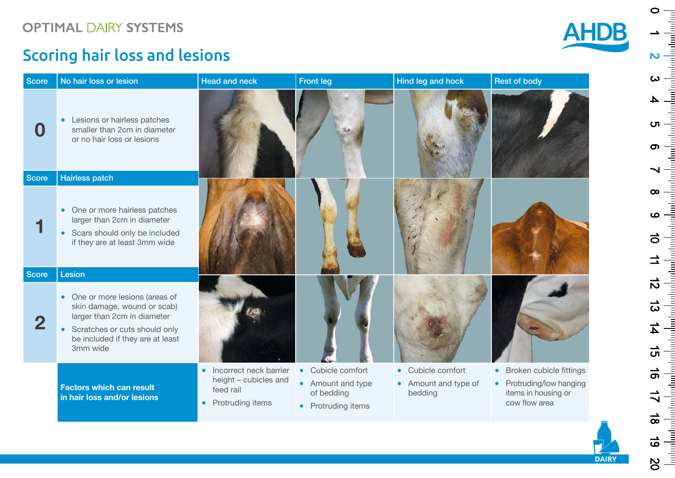### Scoring hair loss and lesions

| <b>Score</b> | No hair loss or lesion                                                                                                                                                                    | <b>Head and neck</b>                                                                                       | <b>Front leg</b>                                                                                            | Hind leg and hock                                                          | <b>Rest of body</b>                                                                                      |
|--------------|-------------------------------------------------------------------------------------------------------------------------------------------------------------------------------------------|------------------------------------------------------------------------------------------------------------|-------------------------------------------------------------------------------------------------------------|----------------------------------------------------------------------------|----------------------------------------------------------------------------------------------------------|
| $\bf{O}$     | Lesions or hairless patches<br>$\bullet$<br>smaller than 2cm in diameter<br>or no hair loss or lesions                                                                                    |                                                                                                            |                                                                                                             |                                                                            |                                                                                                          |
| <b>Score</b> | <b>Hairless patch</b>                                                                                                                                                                     |                                                                                                            |                                                                                                             |                                                                            |                                                                                                          |
|              | One or more hairless patches<br>$\bullet$<br>larger than 2cm in diameter<br>Scars should only be included<br>if they are at least 3mm wide                                                |                                                                                                            |                                                                                                             |                                                                            |                                                                                                          |
| <b>Score</b> | Lesion                                                                                                                                                                                    |                                                                                                            |                                                                                                             |                                                                            |                                                                                                          |
| 2            | One or more lesions (areas of<br>skin damage, wound or scab)<br>larger than 2cm in diameter<br>Scratches or cuts should only<br>$\bullet$<br>be included if they are at least<br>3mm wide |                                                                                                            |                                                                                                             |                                                                            |                                                                                                          |
|              | <b>Factors which can result</b><br>in hair loss and/or lesions                                                                                                                            | Incorrect neck barrier<br>$\bullet$<br>height - cubicles and<br>feed rail<br>Protruding items<br>$\bullet$ | Cubicle comfort<br>$\bullet$<br>Amount and type<br>$\bullet$<br>of bedding<br>Protruding items<br>$\bullet$ | Cubicle comfort<br>$\bullet$<br>Amount and type of<br>$\bullet$<br>bedding | Broken cubicle fittings<br>$\bullet$<br>• Protruding/low hanging<br>items in housing or<br>cow flow area |

 $\circ$  $\sim$   $\frac{1}{2}$  $\boldsymbol{\omega}$  $\overline{\mathbf{4}}$ U  $\sigma$  $\infty$  $\bullet$  $\vec{o}$  $rac{1}{2}$  $\Rightarrow$  $\frac{1}{\sqrt{2}}$  $\frac{1}{\sqrt{2\pi}}$  $\overrightarrow{v}$ 18 61 81

**AHDB** 

**DAIRY**